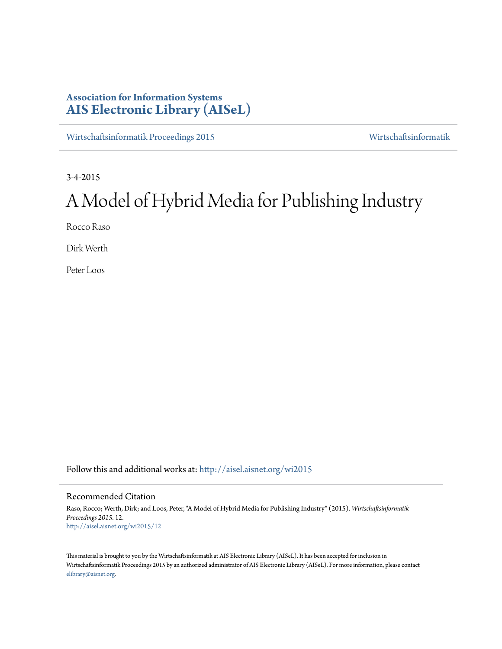## **Association for Information Systems [AIS Electronic Library \(AISeL\)](http://aisel.aisnet.org?utm_source=aisel.aisnet.org%2Fwi2015%2F12&utm_medium=PDF&utm_campaign=PDFCoverPages)**

[Wirtschaftsinformatik Proceedings 2015](http://aisel.aisnet.org/wi2015?utm_source=aisel.aisnet.org%2Fwi2015%2F12&utm_medium=PDF&utm_campaign=PDFCoverPages) [Wirtschaftsinformatik](http://aisel.aisnet.org/wi?utm_source=aisel.aisnet.org%2Fwi2015%2F12&utm_medium=PDF&utm_campaign=PDFCoverPages)

3-4-2015

# A Model of Hybrid Media for Publishing Industry

Rocco Raso

Dirk Werth

Peter Loos

Follow this and additional works at: [http://aisel.aisnet.org/wi2015](http://aisel.aisnet.org/wi2015?utm_source=aisel.aisnet.org%2Fwi2015%2F12&utm_medium=PDF&utm_campaign=PDFCoverPages)

## Recommended Citation

Raso, Rocco; Werth, Dirk; and Loos, Peter, "A Model of Hybrid Media for Publishing Industry" (2015). *Wirtschaftsinformatik Proceedings 2015*. 12. [http://aisel.aisnet.org/wi2015/12](http://aisel.aisnet.org/wi2015/12?utm_source=aisel.aisnet.org%2Fwi2015%2F12&utm_medium=PDF&utm_campaign=PDFCoverPages)

This material is brought to you by the Wirtschaftsinformatik at AIS Electronic Library (AISeL). It has been accepted for inclusion in Wirtschaftsinformatik Proceedings 2015 by an authorized administrator of AIS Electronic Library (AISeL). For more information, please contact [elibrary@aisnet.org.](mailto:elibrary@aisnet.org%3E)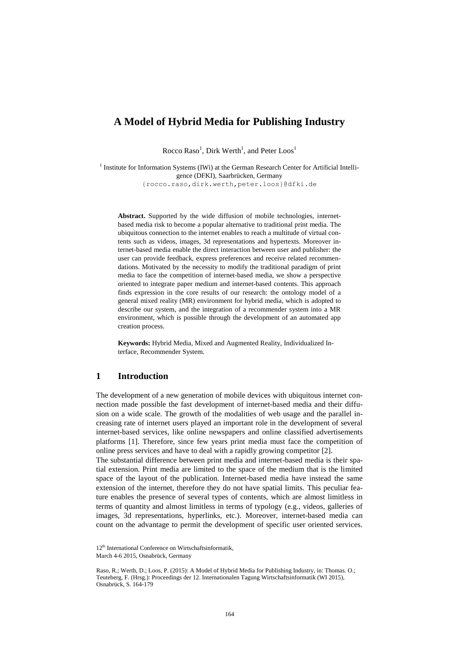## **A Model of Hybrid Media for Publishing Industry**

Rocco Raso<sup>1</sup>, Dirk Werth<sup>1</sup>, and Peter  $\text{Loos}^{1}$ 

<sup>1</sup> Institute for Information Systems (IWi) at the German Research Center for Artificial Intelligence (DFKI), Saarbrücken, Germany {rocco.raso,dirk.werth,peter.loos}@dfki.de

**Abstract.** Supported by the wide diffusion of mobile technologies, internetbased media risk to become a popular alternative to traditional print media. The ubiquitous connection to the internet enables to reach a multitude of virtual contents such as videos, images, 3d representations and hypertexts. Moreover internet-based media enable the direct interaction between user and publisher: the user can provide feedback, express preferences and receive related recommendations. Motivated by the necessity to modify the traditional paradigm of print media to face the competition of internet-based media, we show a perspective oriented to integrate paper medium and internet-based contents. This approach finds expression in the core results of our research: the ontology model of a general mixed reality (MR) environment for hybrid media, which is adopted to describe our system, and the integration of a recommender system into a MR environment, which is possible through the development of an automated app creation process.

**Keywords:** Hybrid Media, Mixed and Augmented Reality, Individualized Interface, Recommender System.

### **1 Introduction**

The development of a new generation of mobile devices with ubiquitous internet connection made possible the fast development of internet-based media and their diffusion on a wide scale. The growth of the modalities of web usage and the parallel increasing rate of internet users played an important role in the development of several internet-based services, like online newspapers and online classified advertisements platforms [1]. Therefore, since few years print media must face the competition of online press services and have to deal with a rapidly growing competitor [2].

The substantial difference between print media and internet-based media is their spatial extension. Print media are limited to the space of the medium that is the limited space of the layout of the publication. Internet-based media have instead the same extension of the internet, therefore they do not have spatial limits. This peculiar feature enables the presence of several types of contents, which are almost limitless in terms of quantity and almost limitless in terms of typology (e.g., videos, galleries of images, 3d representations, hyperlinks, etc.). Moreover, internet-based media can count on the advantage to permit the development of specific user oriented services.

<sup>12&</sup>lt;sup>th</sup> International Conference on Wirtschaftsinformatik, March 4-6 2015, Osnabrück, Germany

Raso, R.; Werth, D.; Loos, P. (2015): A Model of Hybrid Media for Publishing Industry, in: Thomas. O.; Teuteberg, F. (Hrsg.): Proceedings der 12. Internationalen Tagung Wirtschaftsinformatik (WI 2015), Osnabrück, S. 164-179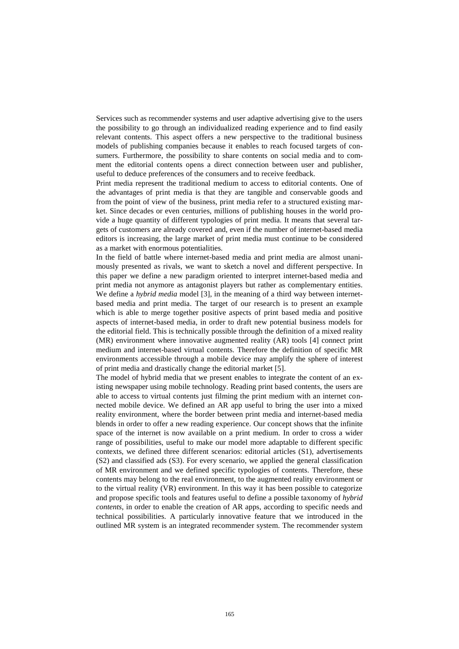Services such as recommender systems and user adaptive advertising give to the users the possibility to go through an individualized reading experience and to find easily relevant contents. This aspect offers a new perspective to the traditional business models of publishing companies because it enables to reach focused targets of consumers. Furthermore, the possibility to share contents on social media and to comment the editorial contents opens a direct connection between user and publisher, useful to deduce preferences of the consumers and to receive feedback.

Print media represent the traditional medium to access to editorial contents. One of the advantages of print media is that they are tangible and conservable goods and from the point of view of the business, print media refer to a structured existing market. Since decades or even centuries, millions of publishing houses in the world provide a huge quantity of different typologies of print media. It means that several targets of customers are already covered and, even if the number of internet-based media editors is increasing, the large market of print media must continue to be considered as a market with enormous potentialities.

In the field of battle where internet-based media and print media are almost unanimously presented as rivals, we want to sketch a novel and different perspective. In this paper we define a new paradigm oriented to interpret internet-based media and print media not anymore as antagonist players but rather as complementary entities. We define a *hybrid media* model [3], in the meaning of a third way between internetbased media and print media. The target of our research is to present an example which is able to merge together positive aspects of print based media and positive aspects of internet-based media, in order to draft new potential business models for the editorial field. This is technically possible through the definition of a mixed reality (MR) environment where innovative augmented reality (AR) tools [4] connect print medium and internet-based virtual contents. Therefore the definition of specific MR environments accessible through a mobile device may amplify the sphere of interest of print media and drastically change the editorial market [5].

The model of hybrid media that we present enables to integrate the content of an existing newspaper using mobile technology. Reading print based contents, the users are able to access to virtual contents just filming the print medium with an internet connected mobile device. We defined an AR app useful to bring the user into a mixed reality environment, where the border between print media and internet-based media blends in order to offer a new reading experience. Our concept shows that the infinite space of the internet is now available on a print medium. In order to cross a wider range of possibilities, useful to make our model more adaptable to different specific contexts, we defined three different scenarios: editorial articles (S1), advertisements (S2) and classified ads (S3). For every scenario, we applied the general classification of MR environment and we defined specific typologies of contents. Therefore, these contents may belong to the real environment, to the augmented reality environment or to the virtual reality (VR) environment. In this way it has been possible to categorize and propose specific tools and features useful to define a possible taxonomy of *hybrid contents*, in order to enable the creation of AR apps, according to specific needs and technical possibilities. A particularly innovative feature that we introduced in the outlined MR system is an integrated recommender system. The recommender system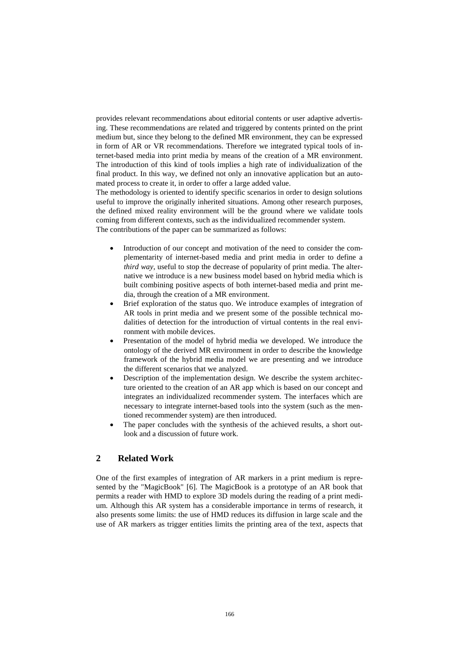provides relevant recommendations about editorial contents or user adaptive advertising. These recommendations are related and triggered by contents printed on the print medium but, since they belong to the defined MR environment, they can be expressed in form of AR or VR recommendations. Therefore we integrated typical tools of internet-based media into print media by means of the creation of a MR environment. The introduction of this kind of tools implies a high rate of individualization of the final product. In this way, we defined not only an innovative application but an automated process to create it, in order to offer a large added value.

The methodology is oriented to identify specific scenarios in order to design solutions useful to improve the originally inherited situations. Among other research purposes, the defined mixed reality environment will be the ground where we validate tools coming from different contexts, such as the individualized recommender system. The contributions of the paper can be summarized as follows:

- Introduction of our concept and motivation of the need to consider the complementarity of internet-based media and print media in order to define a *third way*, useful to stop the decrease of popularity of print media. The alternative we introduce is a new business model based on hybrid media which is built combining positive aspects of both internet-based media and print media, through the creation of a MR environment.
- Brief exploration of the status quo. We introduce examples of integration of AR tools in print media and we present some of the possible technical modalities of detection for the introduction of virtual contents in the real environment with mobile devices.
- Presentation of the model of hybrid media we developed. We introduce the ontology of the derived MR environment in order to describe the knowledge framework of the hybrid media model we are presenting and we introduce the different scenarios that we analyzed.
- Description of the implementation design. We describe the system architecture oriented to the creation of an AR app which is based on our concept and integrates an individualized recommender system. The interfaces which are necessary to integrate internet-based tools into the system (such as the mentioned recommender system) are then introduced.
- The paper concludes with the synthesis of the achieved results, a short outlook and a discussion of future work.

## **2 Related Work**

One of the first examples of integration of AR markers in a print medium is represented by the "MagicBook" [6]. The MagicBook is a prototype of an AR book that permits a reader with HMD to explore 3D models during the reading of a print medium. Although this AR system has a considerable importance in terms of research, it also presents some limits: the use of HMD reduces its diffusion in large scale and the use of AR markers as trigger entities limits the printing area of the text, aspects that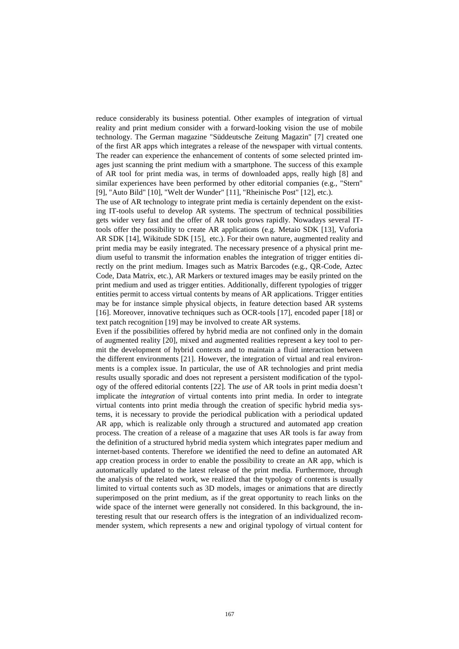reduce considerably its business potential. Other examples of integration of virtual reality and print medium consider with a forward-looking vision the use of mobile technology. The German magazine "Süddeutsche Zeitung Magazin" [7] created one of the first AR apps which integrates a release of the newspaper with virtual contents. The reader can experience the enhancement of contents of some selected printed images just scanning the print medium with a smartphone. The success of this example of AR tool for print media was, in terms of downloaded apps, really high [8] and similar experiences have been performed by other editorial companies (e.g., "Stern" [9], "Auto Bild" [10], "Welt der Wunder" [11], "Rheinische Post" [12], etc.).

The use of AR technology to integrate print media is certainly dependent on the existing IT-tools useful to develop AR systems. The spectrum of technical possibilities gets wider very fast and the offer of AR tools grows rapidly. Nowadays several ITtools offer the possibility to create AR applications (e.g. Metaio SDK [13], Vuforia AR SDK [14], Wikitude SDK [15], etc.). For their own nature, augmented reality and print media may be easily integrated. The necessary presence of a physical print medium useful to transmit the information enables the integration of trigger entities directly on the print medium. Images such as Matrix Barcodes (e.g., QR-Code, Aztec Code, Data Matrix, etc.), AR Markers or textured images may be easily printed on the print medium and used as trigger entities. Additionally, different typologies of trigger entities permit to access virtual contents by means of AR applications. Trigger entities may be for instance simple physical objects, in feature detection based AR systems [16]. Moreover, innovative techniques such as OCR-tools [17], encoded paper [18] or text patch recognition [19] may be involved to create AR systems.

Even if the possibilities offered by hybrid media are not confined only in the domain of augmented reality [20], mixed and augmented realities represent a key tool to permit the development of hybrid contexts and to maintain a fluid interaction between the different environments [21]. However, the integration of virtual and real environments is a complex issue. In particular, the use of AR technologies and print media results usually sporadic and does not represent a persistent modification of the typology of the offered editorial contents [22]. The *use* of AR tools in print media doesn't implicate the *integration* of virtual contents into print media. In order to integrate virtual contents into print media through the creation of specific hybrid media systems, it is necessary to provide the periodical publication with a periodical updated AR app, which is realizable only through a structured and automated app creation process. The creation of a release of a magazine that uses AR tools is far away from the definition of a structured hybrid media system which integrates paper medium and internet-based contents. Therefore we identified the need to define an automated AR app creation process in order to enable the possibility to create an AR app, which is automatically updated to the latest release of the print media. Furthermore, through the analysis of the related work, we realized that the typology of contents is usually limited to virtual contents such as 3D models, images or animations that are directly superimposed on the print medium, as if the great opportunity to reach links on the wide space of the internet were generally not considered. In this background, the interesting result that our research offers is the integration of an individualized recommender system, which represents a new and original typology of virtual content for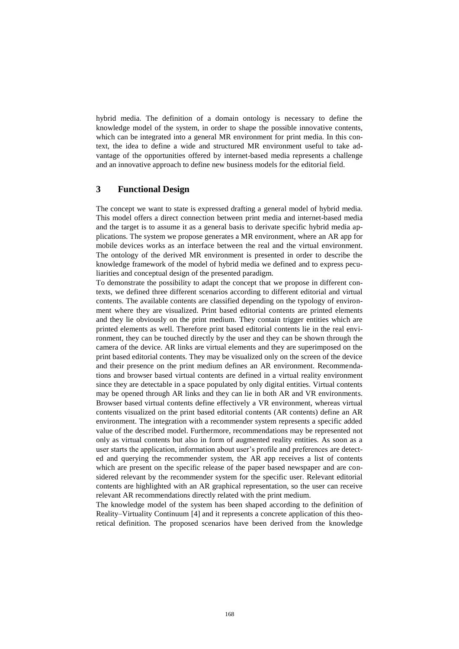hybrid media. The definition of a domain ontology is necessary to define the knowledge model of the system, in order to shape the possible innovative contents, which can be integrated into a general MR environment for print media. In this context, the idea to define a wide and structured MR environment useful to take advantage of the opportunities offered by internet-based media represents a challenge and an innovative approach to define new business models for the editorial field.

## **3 Functional Design**

The concept we want to state is expressed drafting a general model of hybrid media. This model offers a direct connection between print media and internet-based media and the target is to assume it as a general basis to derivate specific hybrid media applications. The system we propose generates a MR environment, where an AR app for mobile devices works as an interface between the real and the virtual environment. The ontology of the derived MR environment is presented in order to describe the knowledge framework of the model of hybrid media we defined and to express peculiarities and conceptual design of the presented paradigm.

To demonstrate the possibility to adapt the concept that we propose in different contexts, we defined three different scenarios according to different editorial and virtual contents. The available contents are classified depending on the typology of environment where they are visualized. Print based editorial contents are printed elements and they lie obviously on the print medium. They contain trigger entities which are printed elements as well. Therefore print based editorial contents lie in the real environment, they can be touched directly by the user and they can be shown through the camera of the device. AR links are virtual elements and they are superimposed on the print based editorial contents. They may be visualized only on the screen of the device and their presence on the print medium defines an AR environment. Recommendations and browser based virtual contents are defined in a virtual reality environment since they are detectable in a space populated by only digital entities. Virtual contents may be opened through AR links and they can lie in both AR and VR environments. Browser based virtual contents define effectively a VR environment, whereas virtual contents visualized on the print based editorial contents (AR contents) define an AR environment. The integration with a recommender system represents a specific added value of the described model. Furthermore, recommendations may be represented not only as virtual contents but also in form of augmented reality entities. As soon as a user starts the application, information about user's profile and preferences are detected and querying the recommender system, the AR app receives a list of contents which are present on the specific release of the paper based newspaper and are considered relevant by the recommender system for the specific user. Relevant editorial contents are highlighted with an AR graphical representation, so the user can receive relevant AR recommendations directly related with the print medium.

The knowledge model of the system has been shaped according to the definition of Reality–Virtuality Continuum [4] and it represents a concrete application of this theoretical definition. The proposed scenarios have been derived from the knowledge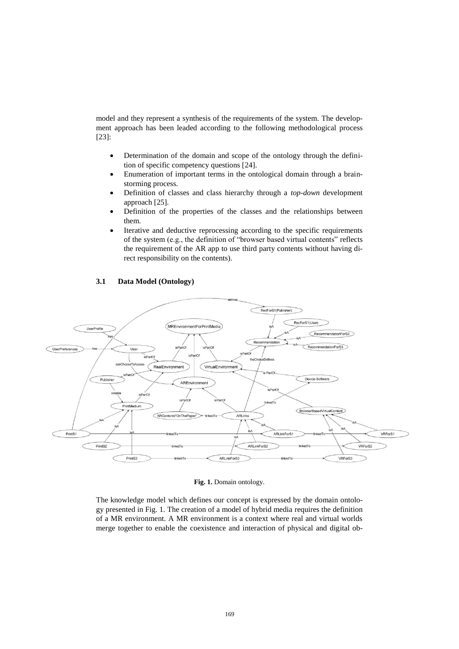model and they represent a synthesis of the requirements of the system. The development approach has been leaded according to the following methodological process [23]:

- Determination of the domain and scope of the ontology through the definition of specific competency questions [24].
- Enumeration of important terms in the ontological domain through a brainstorming process.
- Definition of classes and class hierarchy through a *top-down* development approach [25].
- Definition of the properties of the classes and the relationships between them.
- Iterative and deductive reprocessing according to the specific requirements of the system (e.g., the definition of "browser based virtual contents" reflects the requirement of the AR app to use third party contents without having direct responsibility on the contents).



#### **3.1 Data Model (Ontology)**

**Fig. 1.** Domain ontology.

The knowledge model which defines our concept is expressed by the domain ontology presented in Fig. 1. The creation of a model of hybrid media requires the definition of a MR environment. A MR environment is a context where real and virtual worlds merge together to enable the coexistence and interaction of physical and digital ob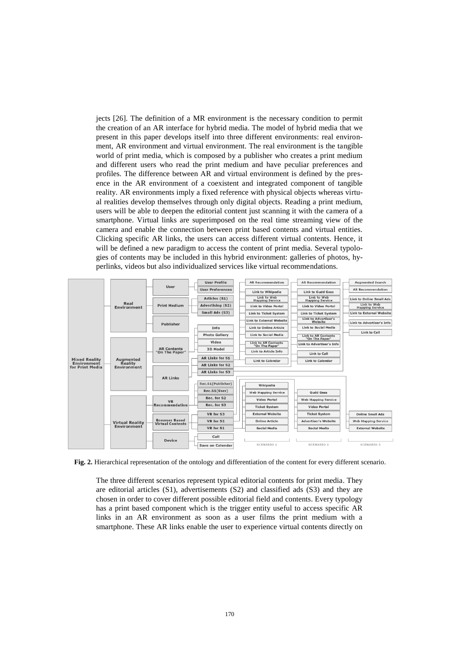jects [26]. The definition of a MR environment is the necessary condition to permit the creation of an AR interface for hybrid media. The model of hybrid media that we present in this paper develops itself into three different environments: real environment, AR environment and virtual environment. The real environment is the tangible world of print media, which is composed by a publisher who creates a print medium and different users who read the print medium and have peculiar preferences and profiles. The difference between AR and virtual environment is defined by the presence in the AR environment of a coexistent and integrated component of tangible reality. AR environments imply a fixed reference with physical objects whereas virtual realities develop themselves through only digital objects. Reading a print medium, users will be able to deepen the editorial content just scanning it with the camera of a smartphone. Virtual links are superimposed on the real time streaming view of the camera and enable the connection between print based contents and virtual entities. Clicking specific AR links, the users can access different virtual contents. Hence, it will be defined a new paradigm to access the content of print media. Several typologies of contents may be included in this hybrid environment: galleries of photos, hyperlinks, videos but also individualized services like virtual recommendations.



**Fig. 2.** Hierarchical representation of the ontology and differentiation of the content for every different scenario.

The three different scenarios represent typical editorial contents for print media. They are editorial articles (S1), advertisements (S2) and classified ads (S3) and they are chosen in order to cover different possible editorial field and contents. Every typology has a print based component which is the trigger entity useful to access specific AR links in an AR environment as soon as a user films the print medium with a smartphone. These AR links enable the user to experience virtual contents directly on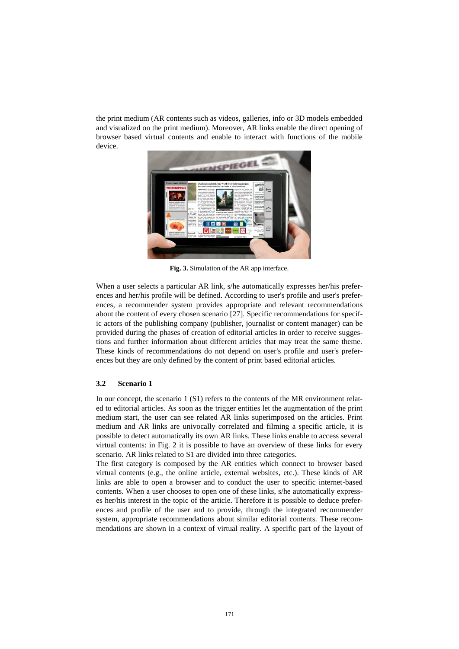the print medium (AR contents such as videos, galleries, info or 3D models embedded and visualized on the print medium). Moreover, AR links enable the direct opening of browser based virtual contents and enable to interact with functions of the mobile device.



**Fig. 3.** Simulation of the AR app interface.

When a user selects a particular AR link, s/he automatically expresses her/his preferences and her/his profile will be defined. According to user's profile and user's preferences, a recommender system provides appropriate and relevant recommendations about the content of every chosen scenario [27]. Specific recommendations for specific actors of the publishing company (publisher, journalist or content manager) can be provided during the phases of creation of editorial articles in order to receive suggestions and further information about different articles that may treat the same theme. These kinds of recommendations do not depend on user's profile and user's preferences but they are only defined by the content of print based editorial articles.

#### **3.2 Scenario 1**

In our concept, the scenario 1 (S1) refers to the contents of the MR environment related to editorial articles. As soon as the trigger entities let the augmentation of the print medium start, the user can see related AR links superimposed on the articles. Print medium and AR links are univocally correlated and filming a specific article, it is possible to detect automatically its own AR links. These links enable to access several virtual contents: in Fig. 2 it is possible to have an overview of these links for every scenario. AR links related to S1 are divided into three categories.

The first category is composed by the AR entities which connect to browser based virtual contents (e.g., the online article, external websites, etc.). These kinds of AR links are able to open a browser and to conduct the user to specific internet-based contents. When a user chooses to open one of these links, s/he automatically expresses her/his interest in the topic of the article. Therefore it is possible to deduce preferences and profile of the user and to provide, through the integrated recommender system, appropriate recommendations about similar editorial contents. These recommendations are shown in a context of virtual reality. A specific part of the layout of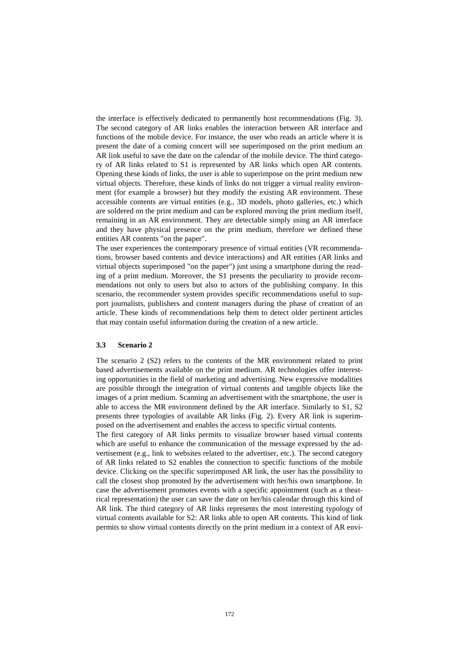the interface is effectively dedicated to permanently host recommendations (Fig. 3). The second category of AR links enables the interaction between AR interface and functions of the mobile device. For instance, the user who reads an article where it is present the date of a coming concert will see superimposed on the print medium an AR link useful to save the date on the calendar of the mobile device. The third category of AR links related to S1 is represented by AR links which open AR contents. Opening these kinds of links, the user is able to superimpose on the print medium new virtual objects. Therefore, these kinds of links do not trigger a virtual reality environment (for example a browser) but they modify the existing AR environment. These accessible contents are virtual entities (e.g., 3D models, photo galleries, etc.) which are soldered on the print medium and can be explored moving the print medium itself, remaining in an AR environment. They are detectable simply using an AR interface and they have physical presence on the print medium, therefore we defined these entities AR contents "on the paper".

The user experiences the contemporary presence of virtual entities (VR recommendations, browser based contents and device interactions) and AR entities (AR links and virtual objects superimposed "on the paper") just using a smartphone during the reading of a print medium. Moreover, the S1 presents the peculiarity to provide recommendations not only to users but also to actors of the publishing company. In this scenario, the recommender system provides specific recommendations useful to support journalists, publishers and content managers during the phase of creation of an article. These kinds of recommendations help them to detect older pertinent articles that may contain useful information during the creation of a new article.

#### **3.3 Scenario 2**

The scenario 2 (S2) refers to the contents of the MR environment related to print based advertisements available on the print medium. AR technologies offer interesting opportunities in the field of marketing and advertising. New expressive modalities are possible through the integration of virtual contents and tangible objects like the images of a print medium. Scanning an advertisement with the smartphone, the user is able to access the MR environment defined by the AR interface. Similarly to S1, S2 presents three typologies of available AR links (Fig. 2). Every AR link is superimposed on the advertisement and enables the access to specific virtual contents.

The first category of AR links permits to visualize browser based virtual contents which are useful to enhance the communication of the message expressed by the advertisement (e.g., link to websites related to the advertiser, etc.). The second category of AR links related to S2 enables the connection to specific functions of the mobile device. Clicking on the specific superimposed AR link, the user has the possibility to call the closest shop promoted by the advertisement with her/his own smartphone. In case the advertisement promotes events with a specific appointment (such as a theatrical representation) the user can save the date on her/his calendar through this kind of AR link. The third category of AR links represents the most interesting typology of virtual contents available for S2: AR links able to open AR contents. This kind of link permits to show virtual contents directly on the print medium in a context of AR envi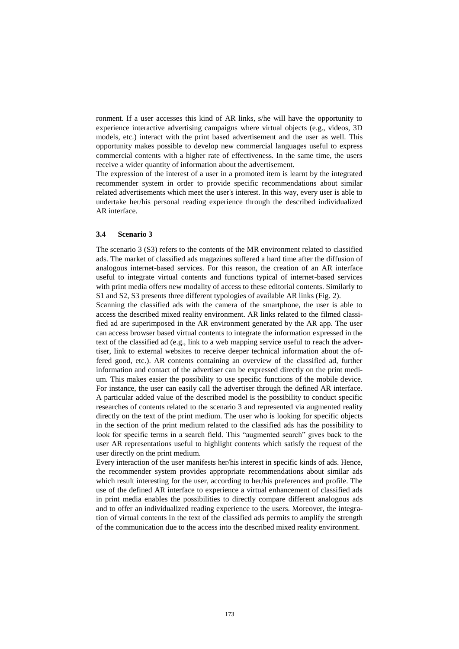ronment. If a user accesses this kind of AR links, s/he will have the opportunity to experience interactive advertising campaigns where virtual objects (e.g., videos, 3D models, etc.) interact with the print based advertisement and the user as well. This opportunity makes possible to develop new commercial languages useful to express commercial contents with a higher rate of effectiveness. In the same time, the users receive a wider quantity of information about the advertisement.

The expression of the interest of a user in a promoted item is learnt by the integrated recommender system in order to provide specific recommendations about similar related advertisements which meet the user's interest. In this way, every user is able to undertake her/his personal reading experience through the described individualized AR interface.

#### **3.4 Scenario 3**

The scenario 3 (S3) refers to the contents of the MR environment related to classified ads. The market of classified ads magazines suffered a hard time after the diffusion of analogous internet-based services. For this reason, the creation of an AR interface useful to integrate virtual contents and functions typical of internet-based services with print media offers new modality of access to these editorial contents. Similarly to S1 and S2, S3 presents three different typologies of available AR links (Fig. 2).

Scanning the classified ads with the camera of the smartphone, the user is able to access the described mixed reality environment. AR links related to the filmed classified ad are superimposed in the AR environment generated by the AR app. The user can access browser based virtual contents to integrate the information expressed in the text of the classified ad (e.g., link to a web mapping service useful to reach the advertiser, link to external websites to receive deeper technical information about the offered good, etc.). AR contents containing an overview of the classified ad, further information and contact of the advertiser can be expressed directly on the print medium. This makes easier the possibility to use specific functions of the mobile device. For instance, the user can easily call the advertiser through the defined AR interface. A particular added value of the described model is the possibility to conduct specific researches of contents related to the scenario 3 and represented via augmented reality directly on the text of the print medium. The user who is looking for specific objects in the section of the print medium related to the classified ads has the possibility to look for specific terms in a search field. This "augmented search" gives back to the user AR representations useful to highlight contents which satisfy the request of the user directly on the print medium.

Every interaction of the user manifests her/his interest in specific kinds of ads. Hence, the recommender system provides appropriate recommendations about similar ads which result interesting for the user, according to her/his preferences and profile. The use of the defined AR interface to experience a virtual enhancement of classified ads in print media enables the possibilities to directly compare different analogous ads and to offer an individualized reading experience to the users. Moreover, the integration of virtual contents in the text of the classified ads permits to amplify the strength of the communication due to the access into the described mixed reality environment.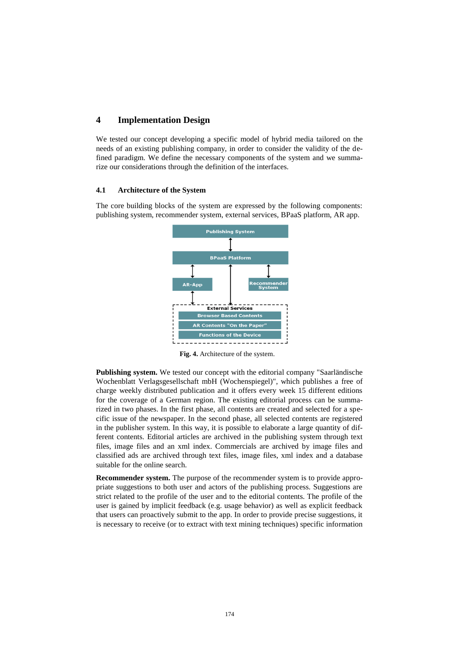## **4 Implementation Design**

We tested our concept developing a specific model of hybrid media tailored on the needs of an existing publishing company, in order to consider the validity of the defined paradigm. We define the necessary components of the system and we summarize our considerations through the definition of the interfaces.

#### **4.1 Architecture of the System**

The core building blocks of the system are expressed by the following components: publishing system, recommender system, external services, BPaaS platform, AR app.



**Fig. 4.** Architecture of the system.

**Publishing system.** We tested our concept with the editorial company "Saarländische Wochenblatt Verlagsgesellschaft mbH (Wochenspiegel)", which publishes a free of charge weekly distributed publication and it offers every week 15 different editions for the coverage of a German region. The existing editorial process can be summarized in two phases. In the first phase, all contents are created and selected for a specific issue of the newspaper. In the second phase, all selected contents are registered in the publisher system. In this way, it is possible to elaborate a large quantity of different contents. Editorial articles are archived in the publishing system through text files, image files and an xml index. Commercials are archived by image files and classified ads are archived through text files, image files, xml index and a database suitable for the online search.

**Recommender system.** The purpose of the recommender system is to provide appropriate suggestions to both user and actors of the publishing process. Suggestions are strict related to the profile of the user and to the editorial contents. The profile of the user is gained by implicit feedback (e.g. usage behavior) as well as explicit feedback that users can proactively submit to the app. In order to provide precise suggestions, it is necessary to receive (or to extract with text mining techniques) specific information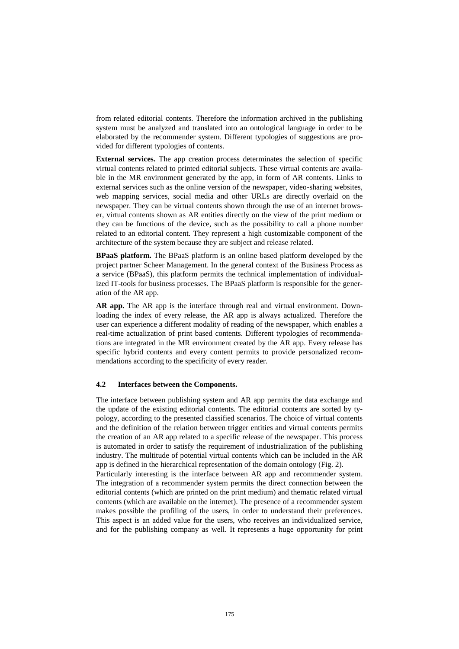from related editorial contents. Therefore the information archived in the publishing system must be analyzed and translated into an ontological language in order to be elaborated by the recommender system. Different typologies of suggestions are provided for different typologies of contents.

**External services.** The app creation process determinates the selection of specific virtual contents related to printed editorial subjects. These virtual contents are available in the MR environment generated by the app, in form of AR contents. Links to external services such as the online version of the newspaper, video-sharing websites, web mapping services, social media and other URLs are directly overlaid on the newspaper. They can be virtual contents shown through the use of an internet browser, virtual contents shown as AR entities directly on the view of the print medium or they can be functions of the device, such as the possibility to call a phone number related to an editorial content. They represent a high customizable component of the architecture of the system because they are subject and release related.

**BPaaS platform.** The BPaaS platform is an online based platform developed by the project partner Scheer Management. In the general context of the Business Process as a service (BPaaS), this platform permits the technical implementation of individualized IT-tools for business processes. The BPaaS platform is responsible for the generation of the AR app.

**AR app.** The AR app is the interface through real and virtual environment. Downloading the index of every release, the AR app is always actualized. Therefore the user can experience a different modality of reading of the newspaper, which enables a real-time actualization of print based contents. Different typologies of recommendations are integrated in the MR environment created by the AR app. Every release has specific hybrid contents and every content permits to provide personalized recommendations according to the specificity of every reader.

#### **4.2 Interfaces between the Components.**

The interface between publishing system and AR app permits the data exchange and the update of the existing editorial contents. The editorial contents are sorted by typology, according to the presented classified scenarios. The choice of virtual contents and the definition of the relation between trigger entities and virtual contents permits the creation of an AR app related to a specific release of the newspaper. This process is automated in order to satisfy the requirement of industrialization of the publishing industry. The multitude of potential virtual contents which can be included in the AR app is defined in the hierarchical representation of the domain ontology (Fig. 2).

Particularly interesting is the interface between AR app and recommender system. The integration of a recommender system permits the direct connection between the editorial contents (which are printed on the print medium) and thematic related virtual contents (which are available on the internet). The presence of a recommender system makes possible the profiling of the users, in order to understand their preferences. This aspect is an added value for the users, who receives an individualized service, and for the publishing company as well. It represents a huge opportunity for print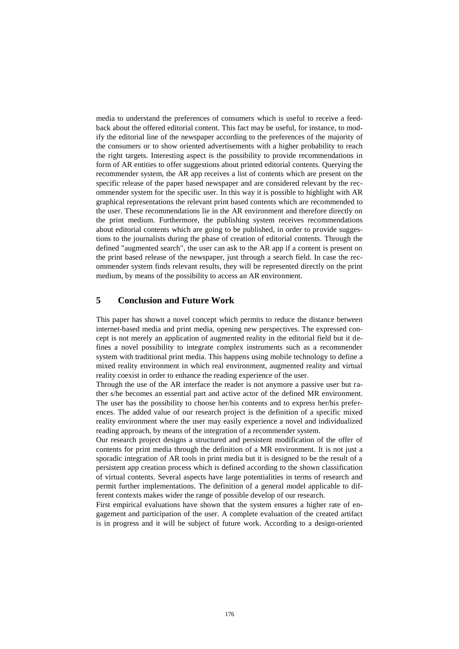media to understand the preferences of consumers which is useful to receive a feedback about the offered editorial content. This fact may be useful, for instance, to modify the editorial line of the newspaper according to the preferences of the majority of the consumers or to show oriented advertisements with a higher probability to reach the right targets. Interesting aspect is the possibility to provide recommendations in form of AR entities to offer suggestions about printed editorial contents. Querying the recommender system, the AR app receives a list of contents which are present on the specific release of the paper based newspaper and are considered relevant by the recommender system for the specific user. In this way it is possible to highlight with AR graphical representations the relevant print based contents which are recommended to the user. These recommendations lie in the AR environment and therefore directly on the print medium. Furthermore, the publishing system receives recommendations about editorial contents which are going to be published, in order to provide suggestions to the journalists during the phase of creation of editorial contents. Through the defined "augmented search", the user can ask to the AR app if a content is present on the print based release of the newspaper, just through a search field. In case the recommender system finds relevant results, they will be represented directly on the print medium, by means of the possibility to access an AR environment.

## **5 Conclusion and Future Work**

This paper has shown a novel concept which permits to reduce the distance between internet-based media and print media, opening new perspectives. The expressed concept is not merely an application of augmented reality in the editorial field but it defines a novel possibility to integrate complex instruments such as a recommender system with traditional print media. This happens using mobile technology to define a mixed reality environment in which real environment, augmented reality and virtual reality coexist in order to enhance the reading experience of the user.

Through the use of the AR interface the reader is not anymore a passive user but rather s/he becomes an essential part and active actor of the defined MR environment. The user has the possibility to choose her/his contents and to express her/his preferences. The added value of our research project is the definition of a specific mixed reality environment where the user may easily experience a novel and individualized reading approach, by means of the integration of a recommender system.

Our research project designs a structured and persistent modification of the offer of contents for print media through the definition of a MR environment. It is not just a sporadic integration of AR tools in print media but it is designed to be the result of a persistent app creation process which is defined according to the shown classification of virtual contents. Several aspects have large potentialities in terms of research and permit further implementations. The definition of a general model applicable to different contexts makes wider the range of possible develop of our research.

First empirical evaluations have shown that the system ensures a higher rate of engagement and participation of the user. A complete evaluation of the created artifact is in progress and it will be subject of future work. According to a design-oriented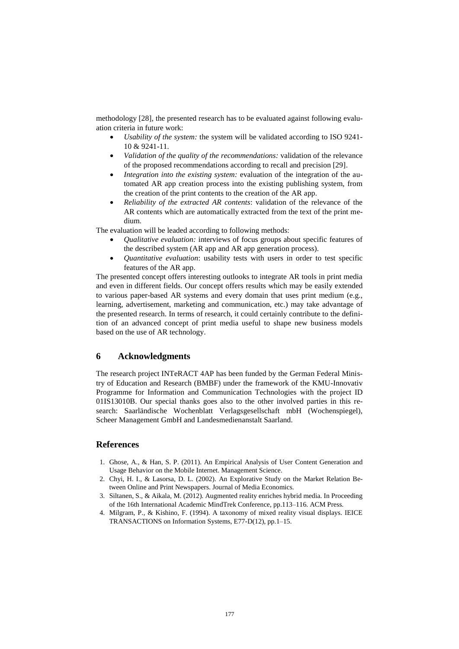methodology [28], the presented research has to be evaluated against following evaluation criteria in future work:

- *Usability of the system:* the system will be validated according to ISO 9241- 10 & 9241-11.
- *Validation of the quality of the recommendations:* validation of the relevance of the proposed recommendations according to recall and precision [29].
- *Integration into the existing system:* evaluation of the integration of the automated AR app creation process into the existing publishing system, from the creation of the print contents to the creation of the AR app.
- *Reliability of the extracted AR contents*: validation of the relevance of the AR contents which are automatically extracted from the text of the print medium.

The evaluation will be leaded according to following methods:

- *Qualitative evaluation:* interviews of focus groups about specific features of the described system (AR app and AR app generation process).
- *Quantitative evaluation*: usability tests with users in order to test specific features of the AR app.

The presented concept offers interesting outlooks to integrate AR tools in print media and even in different fields. Our concept offers results which may be easily extended to various paper-based AR systems and every domain that uses print medium (e.g., learning, advertisement, marketing and communication, etc.) may take advantage of the presented research. In terms of research, it could certainly contribute to the definition of an advanced concept of print media useful to shape new business models based on the use of AR technology.

## **6 Acknowledgments**

The research project INTeRACT 4AP has been funded by the German Federal Ministry of Education and Research (BMBF) under the framework of the KMU-Innovativ Programme for Information and Communication Technologies with the project ID 01IS13010B. Our special thanks goes also to the other involved parties in this research: Saarländische Wochenblatt Verlagsgesellschaft mbH (Wochenspiegel), Scheer Management GmbH and Landesmedienanstalt Saarland.

#### **References**

- 1. Ghose, A., & Han, S. P. (2011). An Empirical Analysis of User Content Generation and Usage Behavior on the Mobile Internet. Management Science.
- 2. Chyi, H. I., & Lasorsa, D. L. (2002). An Explorative Study on the Market Relation Between Online and Print Newspapers. Journal of Media Economics.
- 3. Siltanen, S., & Aikala, M. (2012). Augmented reality enriches hybrid media. In Proceeding of the 16th International Academic MindTrek Conference, pp.113–116. ACM Press.
- 4. Milgram, P., & Kishino, F. (1994). A taxonomy of mixed reality visual displays. IEICE TRANSACTIONS on Information Systems, E77-D(12), pp.1–15.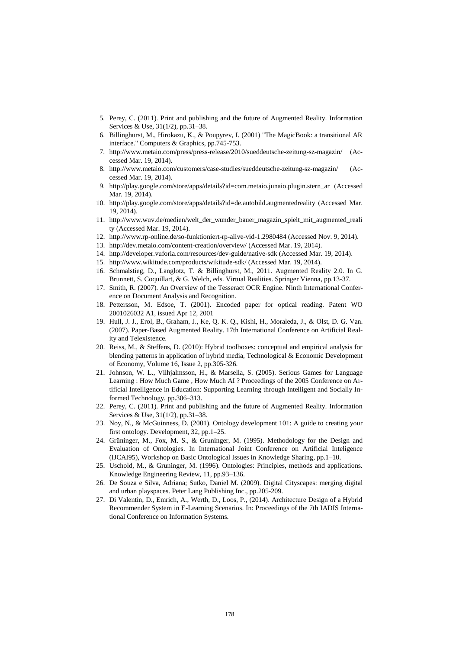- 5. Perey, C. (2011). Print and publishing and the future of Augmented Reality. Information Services & Use, 31(1/2), pp.31–38.
- 6. Billinghurst, M., Hirokazu, K., & Poupyrev, I. (2001) "The MagicBook: a transitional AR interface." Computers & Graphics, pp.745-753.
- 7. http://www.metaio.com/press/press-release/2010/sueddeutsche-zeitung-sz-magazin/ (Accessed Mar. 19, 2014).
- 8. http://www.metaio.com/customers/case-studies/sueddeutsche-zeitung-sz-magazin/ (Accessed Mar. 19, 2014).
- 9. http://play.google.com/store/apps/details?id=com.metaio.junaio.plugin.stern\_ar (Accessed Mar. 19, 2014).
- 10. http://play.google.com/store/apps/details?id=de.autobild.augmentedreality (Accessed Mar. 19, 2014).
- 11. http://www.wuv.de/medien/welt\_der\_wunder\_bauer\_magazin\_spielt\_mit\_augmented\_reali ty (Accessed Mar. 19, 2014).
- 12. [http://www.rp-online.de/so-funktioniert-rp-alive-vid-1.2980484 \(Accessed](http://www.rp-online.de/so-funktioniert-rp-alive-vid-1.2980484%20(Accessed) Nov. 9, 2014).
- 13. http://dev.metaio.com/content-creation/overview/ (Accessed Mar. 19, 2014).
- 14. <http://developer.vuforia.com/resources/dev-guide/native-sdk> (Accessed Mar. 19, 2014).
- 15. http://www.wikitude.com/products/wikitude-sdk/ (Accessed Mar. 19, 2014).
- 16. Schmalstieg, D., Langlotz, T. & Billinghurst, M., 2011. Augmented Reality 2.0. In G. Brunnett, S. Coquillart, & G. Welch, eds. Virtual Realities. Springer Vienna, pp.13-37.
- 17. Smith, R. (2007). An Overview of the Tesseract OCR Engine. Ninth International Conference on Document Analysis and Recognition.
- 18. Pettersson, M. Edsoe, T. (2001). Encoded paper for optical reading. Patent WO 2001026032 A1, issued Apr 12, 2001
- 19. Hull, J. J., Erol, B., Graham, J., Ke, Q. K. Q., Kishi, H., Moraleda, J., & Olst, D. G. Van. (2007). Paper-Based Augmented Reality. 17th International Conference on Artificial Reality and Telexistence.
- 20. Reiss, M., & Steffens, D. (2010): Hybrid toolboxes: conceptual and empirical analysis for blending patterns in application of hybrid media, Technological & Economic Development of Economy, Volume 16, Issue 2, pp.305-326.
- 21. Johnson, W. L., Vilhjalmsson, H., & Marsella, S. (2005). Serious Games for Language Learning : How Much Game , How Much AI ? Proceedings of the 2005 Conference on Artificial Intelligence in Education: Supporting Learning through Intelligent and Socially Informed Technology, pp.306–313.
- 22. Perey, C. (2011). Print and publishing and the future of Augmented Reality. Information Services & Use, 31(1/2), pp.31–38.
- 23. Noy, N., & McGuinness, D. (2001). Ontology development 101: A guide to creating your first ontology. Development, 32, pp.1–25.
- 24. Grüninger, M., Fox, M. S., & Gruninger, M. (1995). Methodology for the Design and Evaluation of Ontologies. In International Joint Conference on Artificial Inteligence (IJCAI95), Workshop on Basic Ontological Issues in Knowledge Sharing, pp.1–10.
- 25. Uschold, M., & Gruninger, M. (1996). Ontologies: Principles, methods and applications. Knowledge Engineering Review, 11, pp.93–136.
- 26. De Souza e Silva, Adriana; Sutko, Daniel M. (2009). Digital Cityscapes: merging digital and urban playspaces. Peter Lang Publishing Inc., pp.205-209.
- 27. Di Valentin, D., Emrich, A., Werth, D., Loos, P., (2014). Architecture Design of a Hybrid Recommender System in E-Learning Scenarios. In: Proceedings of the 7th IADIS International Conference on Information Systems.